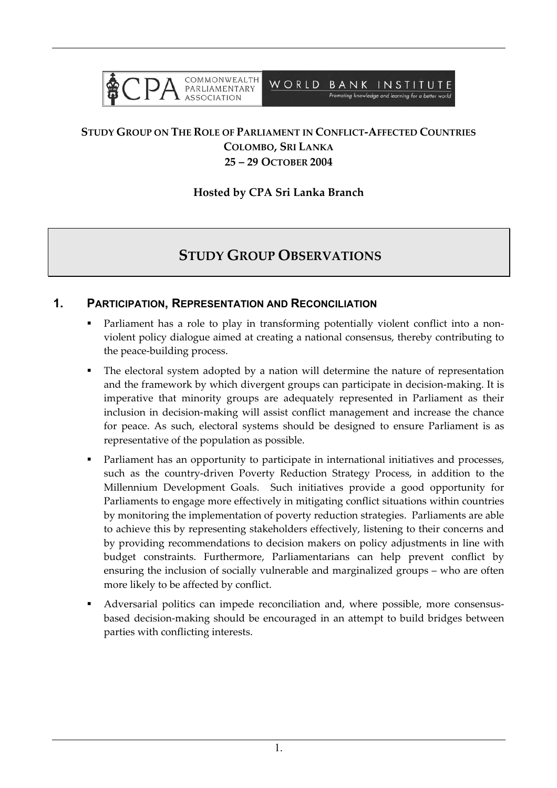

### **STUDY GROUP ON THE ROLE OF PARLIAMENT IN CONFLICT-AFFECTED COUNTRIES COLOMBO, SRI LANKA 25 – 29 OCTOBER 2004**

#### **Hosted by CPA Sri Lanka Branch**

# **STUDY GROUP OBSERVATIONS**

#### **1. PARTICIPATION, REPRESENTATION AND RECONCILIATION**

- Parliament has a role to play in transforming potentially violent conflict into a nonviolent policy dialogue aimed at creating a national consensus, thereby contributing to the peace-building process.
- The electoral system adopted by a nation will determine the nature of representation and the framework by which divergent groups can participate in decision-making. It is imperative that minority groups are adequately represented in Parliament as their inclusion in decision-making will assist conflict management and increase the chance for peace. As such, electoral systems should be designed to ensure Parliament is as representative of the population as possible.
- Parliament has an opportunity to participate in international initiatives and processes, such as the country-driven Poverty Reduction Strategy Process, in addition to the Millennium Development Goals. Such initiatives provide a good opportunity for Parliaments to engage more effectively in mitigating conflict situations within countries by monitoring the implementation of poverty reduction strategies. Parliaments are able to achieve this by representing stakeholders effectively, listening to their concerns and by providing recommendations to decision makers on policy adjustments in line with budget constraints. Furthermore, Parliamentarians can help prevent conflict by ensuring the inclusion of socially vulnerable and marginalized groups – who are often more likely to be affected by conflict.
- Adversarial politics can impede reconciliation and, where possible, more consensusbased decision-making should be encouraged in an attempt to build bridges between parties with conflicting interests.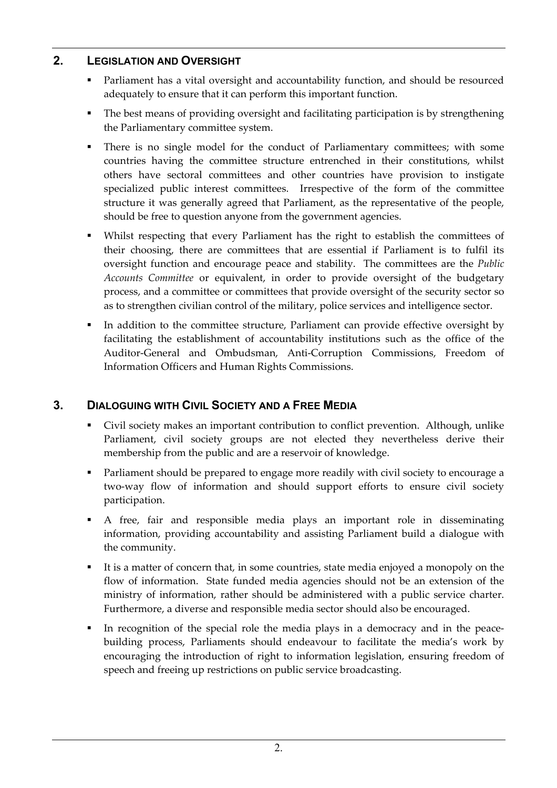## **2. LEGISLATION AND OVERSIGHT**

- Parliament has a vital oversight and accountability function, and should be resourced adequately to ensure that it can perform this important function.
- The best means of providing oversight and facilitating participation is by strengthening the Parliamentary committee system.
- There is no single model for the conduct of Parliamentary committees; with some countries having the committee structure entrenched in their constitutions, whilst others have sectoral committees and other countries have provision to instigate specialized public interest committees. Irrespective of the form of the committee structure it was generally agreed that Parliament, as the representative of the people, should be free to question anyone from the government agencies.
- Whilst respecting that every Parliament has the right to establish the committees of their choosing, there are committees that are essential if Parliament is to fulfil its oversight function and encourage peace and stability. The committees are the *Public Accounts Committee* or equivalent, in order to provide oversight of the budgetary process, and a committee or committees that provide oversight of the security sector so as to strengthen civilian control of the military, police services and intelligence sector.
- In addition to the committee structure, Parliament can provide effective oversight by facilitating the establishment of accountability institutions such as the office of the Auditor-General and Ombudsman, Anti-Corruption Commissions, Freedom of Information Officers and Human Rights Commissions.

# **3. DIALOGUING WITH CIVIL SOCIETY AND A FREE MEDIA**

- Civil society makes an important contribution to conflict prevention. Although, unlike Parliament, civil society groups are not elected they nevertheless derive their membership from the public and are a reservoir of knowledge.
- Parliament should be prepared to engage more readily with civil society to encourage a two-way flow of information and should support efforts to ensure civil society participation.
- A free, fair and responsible media plays an important role in disseminating information, providing accountability and assisting Parliament build a dialogue with the community.
- It is a matter of concern that, in some countries, state media enjoyed a monopoly on the flow of information. State funded media agencies should not be an extension of the ministry of information, rather should be administered with a public service charter. Furthermore, a diverse and responsible media sector should also be encouraged.
- In recognition of the special role the media plays in a democracy and in the peacebuilding process, Parliaments should endeavour to facilitate the media's work by encouraging the introduction of right to information legislation, ensuring freedom of speech and freeing up restrictions on public service broadcasting.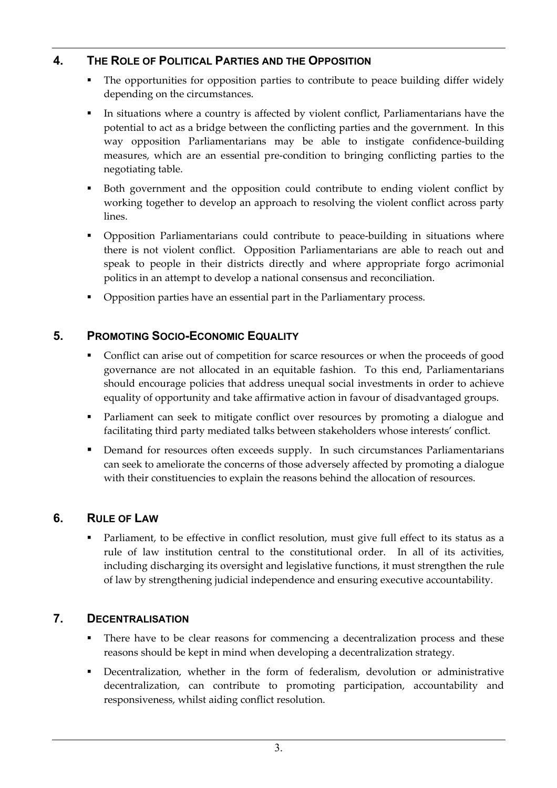# **4. THE ROLE OF POLITICAL PARTIES AND THE OPPOSITION**

- The opportunities for opposition parties to contribute to peace building differ widely depending on the circumstances.
- In situations where a country is affected by violent conflict, Parliamentarians have the potential to act as a bridge between the conflicting parties and the government. In this way opposition Parliamentarians may be able to instigate confidence-building measures, which are an essential pre-condition to bringing conflicting parties to the negotiating table.
- Both government and the opposition could contribute to ending violent conflict by working together to develop an approach to resolving the violent conflict across party lines.
- Opposition Parliamentarians could contribute to peace-building in situations where there is not violent conflict. Opposition Parliamentarians are able to reach out and speak to people in their districts directly and where appropriate forgo acrimonial politics in an attempt to develop a national consensus and reconciliation.
- Opposition parties have an essential part in the Parliamentary process.

# **5. PROMOTING SOCIO-ECONOMIC EQUALITY**

- Conflict can arise out of competition for scarce resources or when the proceeds of good governance are not allocated in an equitable fashion. To this end, Parliamentarians should encourage policies that address unequal social investments in order to achieve equality of opportunity and take affirmative action in favour of disadvantaged groups.
- Parliament can seek to mitigate conflict over resources by promoting a dialogue and facilitating third party mediated talks between stakeholders whose interests' conflict.
- Demand for resources often exceeds supply. In such circumstances Parliamentarians can seek to ameliorate the concerns of those adversely affected by promoting a dialogue with their constituencies to explain the reasons behind the allocation of resources.

### **6. RULE OF LAW**

 Parliament, to be effective in conflict resolution, must give full effect to its status as a rule of law institution central to the constitutional order. In all of its activities, including discharging its oversight and legislative functions, it must strengthen the rule of law by strengthening judicial independence and ensuring executive accountability.

### **7. DECENTRALISATION**

- There have to be clear reasons for commencing a decentralization process and these reasons should be kept in mind when developing a decentralization strategy.
- Decentralization, whether in the form of federalism, devolution or administrative decentralization, can contribute to promoting participation, accountability and responsiveness, whilst aiding conflict resolution.